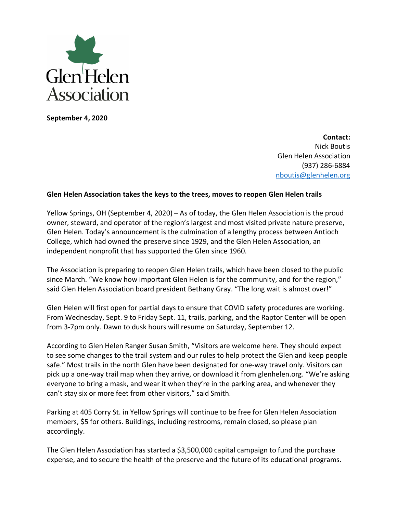

**September 4, 2020**

**Contact:** Nick Boutis Glen Helen Association (937) 286-6884 nboutis@glenhelen.org

## **Glen Helen Association takes the keys to the trees, moves to reopen Glen Helen trails**

Yellow Springs, OH (September 4, 2020) – As of today, the Glen Helen Association is the proud owner, steward, and operator of the region's largest and most visited private nature preserve, Glen Helen. Today's announcement is the culmination of a lengthy process between Antioch College, which had owned the preserve since 1929, and the Glen Helen Association, an independent nonprofit that has supported the Glen since 1960.

The Association is preparing to reopen Glen Helen trails, which have been closed to the public since March. "We know how important Glen Helen is for the community, and for the region," said Glen Helen Association board president Bethany Gray. "The long wait is almost over!"

Glen Helen will first open for partial days to ensure that COVID safety procedures are working. From Wednesday, Sept. 9 to Friday Sept. 11, trails, parking, and the Raptor Center will be open from 3-7pm only. Dawn to dusk hours will resume on Saturday, September 12.

According to Glen Helen Ranger Susan Smith, "Visitors are welcome here. They should expect to see some changes to the trail system and our rules to help protect the Glen and keep people safe." Most trails in the north Glen have been designated for one-way travel only. Visitors can pick up a one-way trail map when they arrive, or download it from glenhelen.org. "We're asking everyone to bring a mask, and wear it when they're in the parking area, and whenever they can't stay six or more feet from other visitors," said Smith.

Parking at 405 Corry St. in Yellow Springs will continue to be free for Glen Helen Association members, \$5 for others. Buildings, including restrooms, remain closed, so please plan accordingly.

The Glen Helen Association has started a \$3,500,000 capital campaign to fund the purchase expense, and to secure the health of the preserve and the future of its educational programs.